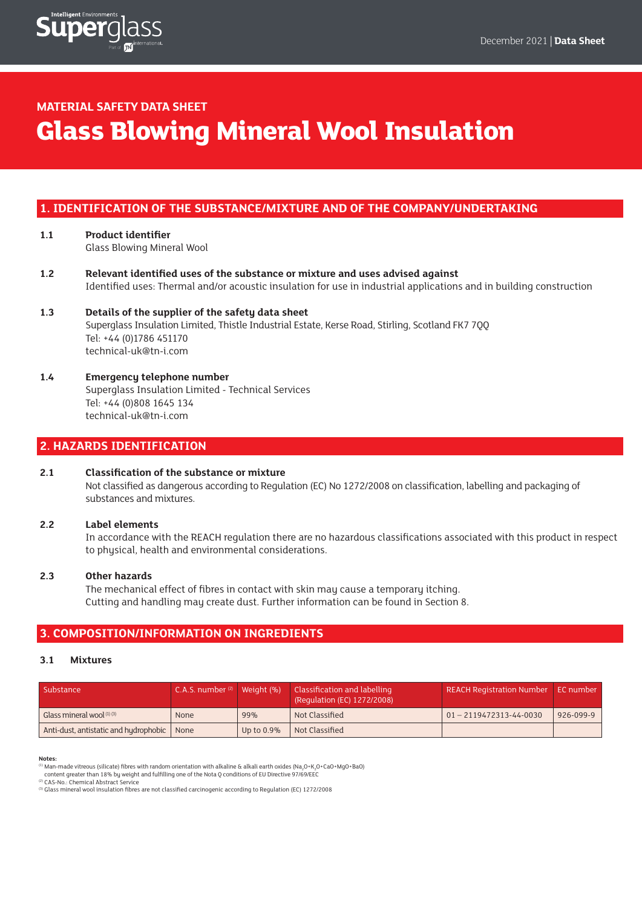

# **MATERIAL SAFETY DATA SHEET**

# **Glass Blowing Mineral Wool Insulation**

## **1. IDENTIFICATION OF THE SUBSTANCE/MIXTURE AND OF THE COMPANY/UNDERTAKING**

- **1.1 Product identifier** Glass Blowing Mineral Wool
- **1.2 Relevant identified uses of the substance or mixture and uses advised against** Identified uses: Thermal and/or acoustic insulation for use in industrial applications and in building construction
- **1.3 Details of the supplier of the safety data sheet** Superglass Insulation Limited, Thistle Industrial Estate, Kerse Road, Stirling, Scotland FK7 7QQ Tel: +44 (0)1786 451170 technical-uk@tn-i.com
- **1.4 Emergency telephone number** Superglass Insulation Limited - Technical Services Tel: +44 (0)808 1645 134 technical-uk@tn-i.com

# **2. HAZARDS IDENTIFICATION**

## **2.1 Classification of the substance or mixture**

 Not classified as dangerous according to Regulation (EC) No 1272/2008 on classification, labelling and packaging of substances and mixtures.

## **2.2 Label elements**

 In accordance with the REACH regulation there are no hazardous classifications associated with this product in respect to physical, health and environmental considerations.

#### **2.3 Other hazards**

 The mechanical effect of fibres in contact with skin may cause a temporary itching. Cutting and handling may create dust. Further information can be found in Section 8.

## **3. COMPOSITION/INFORMATION ON INGREDIENTS**

#### **3.1 Mixtures**

| Substance                                    | C.A.S. number $(2)$ Weight $(9)$ |               | Classification and labelling<br>(Regulation (EC) 1272/2008) | REACH Registration Number   EC number |           |
|----------------------------------------------|----------------------------------|---------------|-------------------------------------------------------------|---------------------------------------|-----------|
| Glass mineral wool $^{(1)(3)}$               | <b>None</b>                      | 99%           | Not Classified                                              | $ 01 - 2119472313 - 44 - 0030 $       | 926-099-9 |
| Anti-dust, antistatic and hydrophobic   None |                                  | Up to $0.9\%$ | Not Classified                                              |                                       |           |

#### **Notes:**

<sup>(1)</sup> Man-made vitreous (silicate) fibres with random orientation with alkaline & alkali earth oxides (Να<sub>2</sub>Ο+Κ<sub>2</sub>Ο+CaΟ+ΜgΟ+ΒaΟ)<br>content greater than 18% by weight and fulfilling one of the Nota Q conditions of EU Directi

(2) CAS-No.: Chemical Abstract Service

(3) Glass mineral wool insulation fibres are not classified carcinogenic according to Regulation (EC) 1272/2008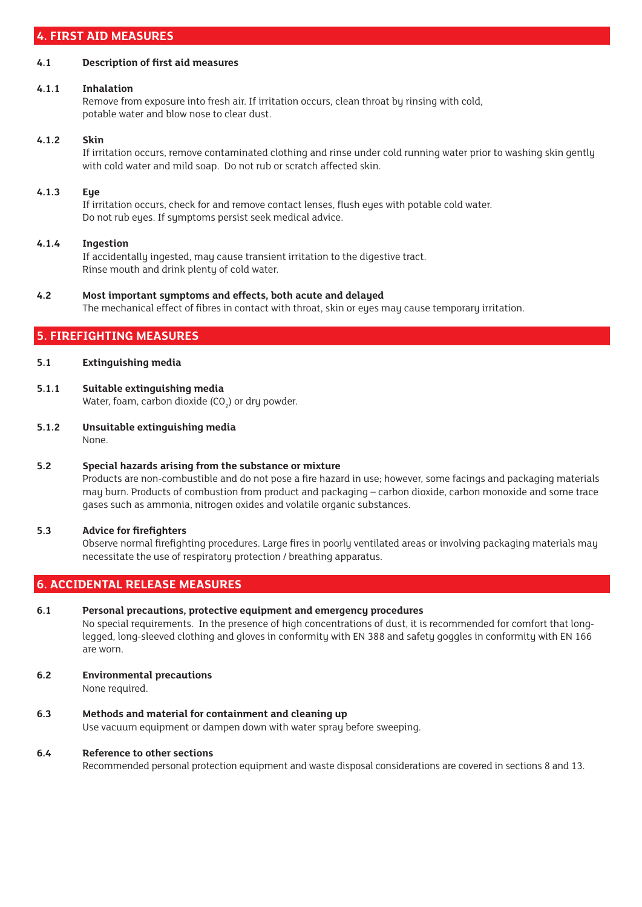# **4. FIRST AID MEASURES**

#### **4.1 Description of first aid measures**

#### **4.1.1 Inhalation**

Remove from exposure into fresh air. If irritation occurs, clean throat by rinsing with cold, potable water and blow nose to clear dust.

### **4.1.2 Skin**

If irritation occurs, remove contaminated clothing and rinse under cold running water prior to washing skin gently with cold water and mild soap. Do not rub or scratch affected skin.

#### **4.1.3 Eye**

If irritation occurs, check for and remove contact lenses, flush eyes with potable cold water. Do not rub eyes. If symptoms persist seek medical advice.

#### **4.1.4 Ingestion**

If accidentally ingested, may cause transient irritation to the digestive tract. Rinse mouth and drink plenty of cold water.

# **4.2 Most important symptoms and effects, both acute and delayed**

The mechanical effect of fibres in contact with throat, skin or eyes may cause temporary irritation.

# **5. FIREFIGHTING MEASURES**

## **5.1 Extinguishing media**

- **5.1.1 Suitable extinguishing media** Water, foam, carbon dioxide (CO $_{2}$ ) or dry powder.
- **5.1.2 Unsuitable extinguishing media** None.

## **5.2 Special hazards arising from the substance or mixture**

 Products are non-combustible and do not pose a fire hazard in use; however, some facings and packaging materials may burn. Products of combustion from product and packaging – carbon dioxide, carbon monoxide and some trace gases such as ammonia, nitrogen oxides and volatile organic substances.

## **5.3 Advice for firefighters**

 Observe normal firefighting procedures. Large fires in poorly ventilated areas or involving packaging materials may necessitate the use of respiratory protection / breathing apparatus.

# **6. ACCIDENTAL RELEASE MEASURES**

## **6.1 Personal precautions, protective equipment and emergency procedures**

 No special requirements. In the presence of high concentrations of dust, it is recommended for comfort that longlegged, long-sleeved clothing and gloves in conformity with EN 388 and safety goggles in conformity with EN 166 are worn.

#### **6.2 Environmental precautions**

None required.

## **6.3 Methods and material for containment and cleaning up**

Use vacuum equipment or dampen down with water spray before sweeping.

## **6.4 Reference to other sections**

Recommended personal protection equipment and waste disposal considerations are covered in sections 8 and 13.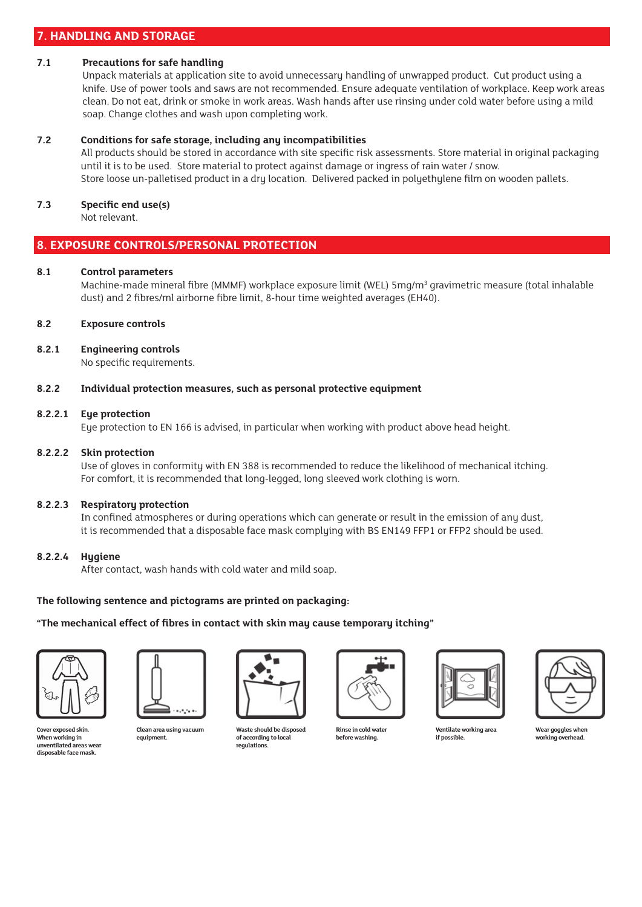## **7. HANDLING AND STORAGE**

#### **7.1 Precautions for safe handling**

 Unpack materials at application site to avoid unnecessary handling of unwrapped product. Cut product using a knife. Use of power tools and saws are not recommended. Ensure adequate ventilation of workplace. Keep work areas clean. Do not eat, drink or smoke in work areas. Wash hands after use rinsing under cold water before using a mild soap. Change clothes and wash upon completing work.

## **7.2 Conditions for safe storage, including any incompatibilities**

 All products should be stored in accordance with site specific risk assessments. Store material in original packaging until it is to be used. Store material to protect against damage or ingress of rain water / snow. Store loose un-palletised product in a dry location. Delivered packed in polyethylene film on wooden pallets.

#### **7.3 Specific end use(s)**

Not relevant.

## **8. EXPOSURE CONTROLS/PERSONAL PROTECTION**

#### **8.1 Control parameters**

Machine-made mineral fibre (MMMF) workplace exposure limit (WEL) 5mg/m<sup>3</sup> gravimetric measure (total inhalable dust) and 2 fibres/ml airborne fibre limit, 8-hour time weighted averages (EH40).

### **8.2 Exposure controls**

#### **8.2.1 Engineering controls**

No specific requirements.

#### **8.2.2 Individual protection measures, such as personal protective equipment**

#### **8.2.2.1 Eye protection**

Eye protection to EN 166 is advised, in particular when working with product above head height.

#### **8.2.2.2 Skin protection**

 Use of gloves in conformity with EN 388 is recommended to reduce the likelihood of mechanical itching. For comfort, it is recommended that long-legged, long sleeved work clothing is worn.

#### **8.2.2.3 Respiratory protection**

 In confined atmospheres or during operations which can generate or result in the emission of any dust, it is recommended that a disposable face mask complying with BS EN149 FFP1 or FFP2 should be used.

#### **8.2.2.4 Hygiene**

After contact, wash hands with cold water and mild soap.

#### **The following sentence and pictograms are printed on packaging:**

#### **"The mechanical effect of fibres in contact with skin may cause temporary itching"**











**Ventilate working area if possible.**



**Wear goggles when working overhead.**

**Cover exposed skin. When working in unventilated areas wear disposable face mask.**

**Clean area using vacuum equipment.**

**Waste should be disposed of according to local regulations.**

**Rinse in cold water before washing.**

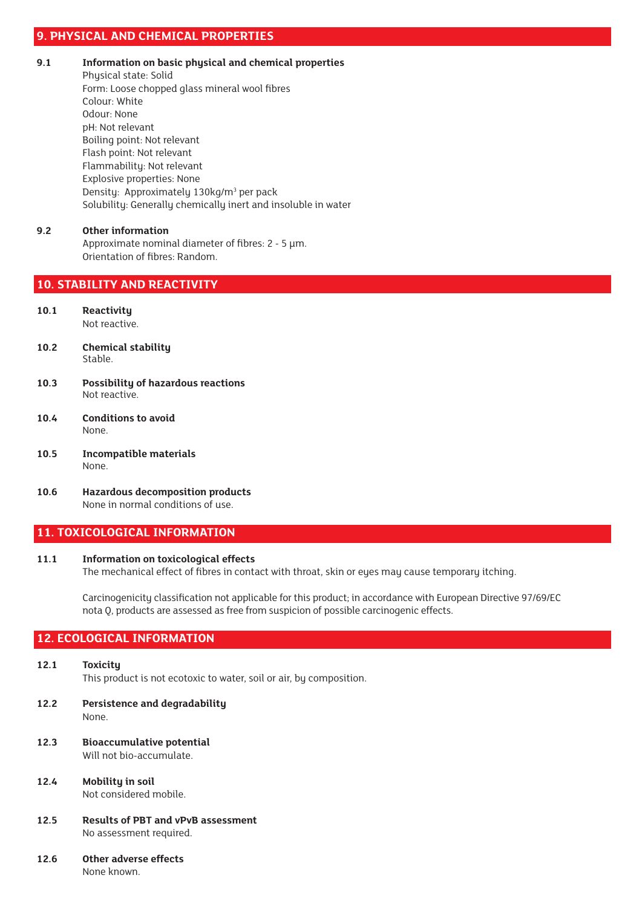## **9. PHYSICAL AND CHEMICAL PROPERTIES**

- **9.1 Information on basic physical and chemical properties**
	- Physical state: Solid Form: Loose chopped glass mineral wool fibres Colour: White Odour: None pH: Not relevant Boiling point: Not relevant Flash point: Not relevant Flammability: Not relevant Explosive properties: None Density: Approximately 130kg/m<sup>3</sup> per pack Solubility: Generally chemically inert and insoluble in water

#### **9.2 Other information**

Approximate nominal diameter of fibres: 2 - 5 μm. Orientation of fibres: Random.

## **10. STABILITY AND REACTIVITY**

- **10.1 Reactivity** Not reactive.
- **10.2 Chemical stability** Stable.
- **10.3 Possibility of hazardous reactions** Not reactive.
- **10.4 Conditions to avoid** None.
- **10.5 Incompatible materials** None.
- **10.6 Hazardous decomposition products** None in normal conditions of use.

## **11. TOXICOLOGICAL INFORMATION**

#### **11.1 Information on toxicological effects**

The mechanical effect of fibres in contact with throat, skin or eyes may cause temporary itching.

 Carcinogenicity classification not applicable for this product; in accordance with European Directive 97/69/EC nota Q, products are assessed as free from suspicion of possible carcinogenic effects.

# **12. ECOLOGICAL INFORMATION**

- **12.1 Toxicity** This product is not ecotoxic to water, soil or air, by composition.
- **12.2 Persistence and degradability** None.
- **12.3 Bioaccumulative potential** Will not bio-accumulate.
- **12.4 Mobility in soil** Not considered mobile.
- **12.5 Results of PBT and vPvB assessment** No assessment required.
- **12.6 Other adverse effects**

None known.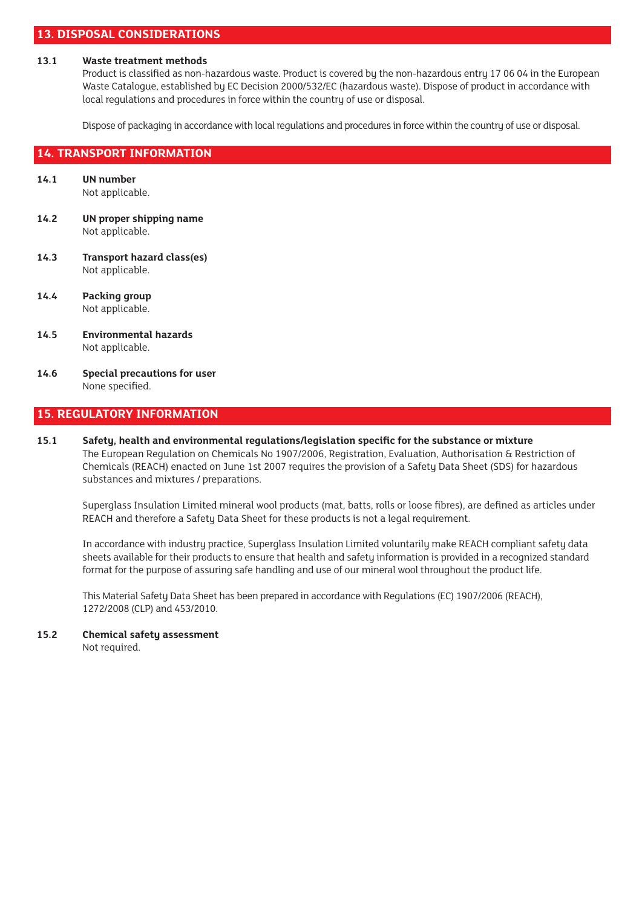# **13. DISPOSAL CONSIDERATIONS**

#### **13.1 Waste treatment methods**

 Product is classified as non-hazardous waste. Product is covered by the non-hazardous entry 17 06 04 in the European Waste Catalogue, established by EC Decision 2000/532/EC (hazardous waste). Dispose of product in accordance with local regulations and procedures in force within the country of use or disposal.

Dispose of packaging in accordance with local regulations and procedures in force within the country of use or disposal.

#### **14. TRANSPORT INFORMATION**

- **14.1 UN number** Not applicable.
- **14.2 UN proper shipping name** Not applicable.
- **14.3 Transport hazard class(es)** Not applicable.
- **14.4 Packing group** Not applicable.
- **14.5 Environmental hazards** Not applicable.
- **14.6 Special precautions for user** None specified.

## **15. REGULATORY INFORMATION**

**15.1 Safety, health and environmental regulations/legislation specific for the substance or mixture** The European Regulation on Chemicals No 1907/2006, Registration, Evaluation, Authorisation & Restriction of Chemicals (REACH) enacted on June 1st 2007 requires the provision of a Safety Data Sheet (SDS) for hazardous substances and mixtures / preparations.

 Superglass Insulation Limited mineral wool products (mat, batts, rolls or loose fibres), are defined as articles under REACH and therefore a Safety Data Sheet for these products is not a legal requirement.

 In accordance with industry practice, Superglass Insulation Limited voluntarily make REACH compliant safety data sheets available for their products to ensure that health and safety information is provided in a recognized standard format for the purpose of assuring safe handling and use of our mineral wool throughout the product life.

 This Material Safety Data Sheet has been prepared in accordance with Regulations (EC) 1907/2006 (REACH), 1272/2008 (CLP) and 453/2010.

**15.2 Chemical safety assessment** Not required.